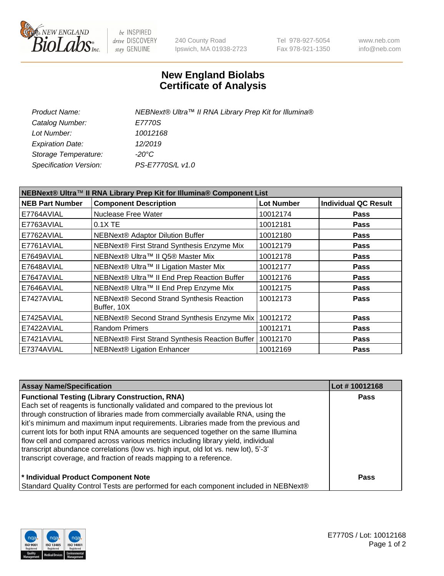

be INSPIRED drive DISCOVERY stay GENUINE

240 County Road Ipswich, MA 01938-2723 Tel 978-927-5054 Fax 978-921-1350 www.neb.com info@neb.com

## **New England Biolabs Certificate of Analysis**

| NEBNext® Ultra™ II RNA Library Prep Kit for Illumina® |
|-------------------------------------------------------|
| E7770S                                                |
| 10012168                                              |
| 12/2019                                               |
| -20°C                                                 |
| PS-E7770S/L v1.0                                      |
|                                                       |

| NEBNext® Ultra™ II RNA Library Prep Kit for Illumina® Component List |                                                            |                   |                             |  |
|----------------------------------------------------------------------|------------------------------------------------------------|-------------------|-----------------------------|--|
| <b>NEB Part Number</b>                                               | <b>Component Description</b>                               | <b>Lot Number</b> | <b>Individual QC Result</b> |  |
| E7764AVIAL                                                           | <b>Nuclease Free Water</b>                                 | 10012174          | <b>Pass</b>                 |  |
| E7763AVIAL                                                           | 0.1X TE                                                    | 10012181          | <b>Pass</b>                 |  |
| E7762AVIAL                                                           | <b>NEBNext® Adaptor Dilution Buffer</b>                    | 10012180          | <b>Pass</b>                 |  |
| E7761AVIAL                                                           | NEBNext® First Strand Synthesis Enzyme Mix                 | 10012179          | <b>Pass</b>                 |  |
| E7649AVIAL                                                           | NEBNext® Ultra™ II Q5® Master Mix                          | 10012178          | <b>Pass</b>                 |  |
| E7648AVIAL                                                           | NEBNext® Ultra™ II Ligation Master Mix                     | 10012177          | <b>Pass</b>                 |  |
| E7647AVIAL                                                           | NEBNext® Ultra™ II End Prep Reaction Buffer                | 10012176          | <b>Pass</b>                 |  |
| E7646AVIAL                                                           | NEBNext® Ultra™ II End Prep Enzyme Mix                     | 10012175          | <b>Pass</b>                 |  |
| E7427AVIAL                                                           | NEBNext® Second Strand Synthesis Reaction<br>Buffer, 10X   | 10012173          | <b>Pass</b>                 |  |
| E7425AVIAL                                                           | NEBNext® Second Strand Synthesis Enzyme Mix                | 10012172          | <b>Pass</b>                 |  |
| E7422AVIAL                                                           | <b>Random Primers</b>                                      | 10012171          | <b>Pass</b>                 |  |
| E7421AVIAL                                                           | NEBNext® First Strand Synthesis Reaction Buffer   10012170 |                   | <b>Pass</b>                 |  |
| E7374AVIAL                                                           | <b>NEBNext® Ligation Enhancer</b>                          | 10012169          | <b>Pass</b>                 |  |

| <b>Assay Name/Specification</b>                                                      | Lot #10012168 |
|--------------------------------------------------------------------------------------|---------------|
| <b>Functional Testing (Library Construction, RNA)</b>                                | <b>Pass</b>   |
| Each set of reagents is functionally validated and compared to the previous lot      |               |
| through construction of libraries made from commercially available RNA, using the    |               |
| kit's minimum and maximum input requirements. Libraries made from the previous and   |               |
| current lots for both input RNA amounts are sequenced together on the same Illumina  |               |
| flow cell and compared across various metrics including library yield, individual    |               |
| transcript abundance correlations (low vs. high input, old lot vs. new lot), 5'-3'   |               |
| transcript coverage, and fraction of reads mapping to a reference.                   |               |
| * Individual Product Component Note                                                  | <b>Pass</b>   |
| Standard Quality Control Tests are performed for each component included in NEBNext® |               |